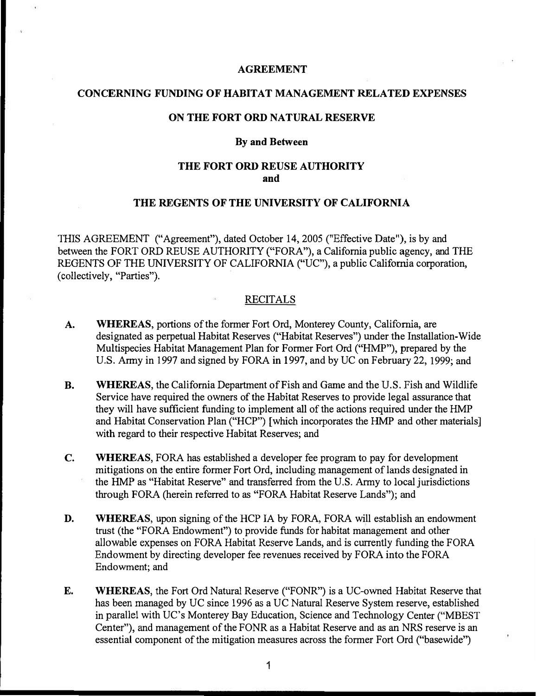#### **AGREEMENT**

## **CONCERNING FUNDING OF HABITAT MANAGEMENT RELATED EXPENSES**

### **ON THE FORT ORD NATURAL RESERVE**

#### **By and Between**

# **THE FORT ORD REUSE AUTHORITY and**

## **THE REGENTS OF THE UNIVERSITY OF CALIFORNIA**

THIS AGREEMENT ("Agreement"), dated October 14, 2005 ("Effective Date"), is by and between the FORT ORD REUSE AUTHORITY ("FORA"), a California public agency, and THE REGENTS OF THE UNIVERSITY OF CALIFORNIA ("UC"), a public California corporation, (collectively, "Parties").

#### RECITALS

- **A. WHEREAS,** portions of the former Fort Ord, Monterey County, California, are designated as perpetual Habitat Reserves ("Habitat Reserves") under the Installation-Wide Multispecies Habitat Management Plan for Former Fort Ord ("HMP"), prepared by the U.S. Army in 1997 and signed by FORA **in** 1997, and by UC on February 22, 1999; and
- **B. WHEREAS,** the California Department of Fish and Game and the U.S. Fish and Wildlife Service have required the owners of the Habitat Reserves to provide legal assurance that they will have sufficient funding to implement all of the actions required under the HMP and Habitat Conservation Plan ("HCP") [which incorporates the HMP and other materials] with regard to their respective Habitat Reserves; and
- **C. WHEREAS,** FORA has established a developer fee program to pay for development mitigations on the entire former Fort Ord, including management of lands designated in the HMP as "Habitat Reserve" and transferred from the U.S. Army to local jurisdictions through FORA (herein referred to as "FORA Habitat Reserve Lands"); and
- **D. WHEREAS,** upon signing of the HCP IA by FORA, FORA will establish an endowment trust (the "FORA Endowment") to provide funds for habitat management and other allowable expenses on FORA Habitat Reserve Lands, and is currently funding the FORA Endowment by directing developer fee revenues received by FORA into the FORA Endowment; and
- **E. WHEREAS,** the Fort Ord Natural Reserve ("FONR") is a UC-owned Habitat Reserve that has been managed by UC since 1996 as a UC Natural Reserve System reserve, established in parallel with UC's Monterey Bay Education, Science and Technology Center ("MBEST Center"), and management of the FONR as a Habitat Reserve and as an NRS reserve is an essential component of the mitigation measures across the former Fort Ord ("basewide")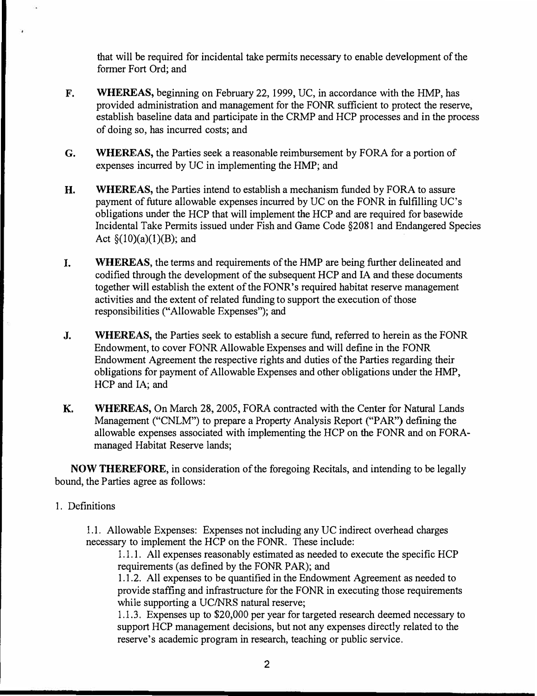that will be required for incidental take permits necessary to enable development of the former Fort Ord; and

- **F. WHEREAS,** beginning on February 22, 1999, UC, in accordance with the HMP, has provided administration and management for the FONR sufficient to protect the reserve, establish baseline data and participate in the CRMP and HCP processes and in the process of doing so, has incurred costs; and
- **G. WHEREAS,** the Parties seek a reasonable reimbursement by FORA for a portion of expenses incurred by UC in implementing the HMP; and
- **H. WHEREAS,** the Parties intend to establish a mechanism funded by FORA to assure payment of future allowable expenses incurred by UC on the FONR in fulfilling UC's obligations under the HCP that will implement the HCP and are required for basewide Incidental Take Permits issued under Fish and Game Code §2081 and Endangered Species Act  $\S(10)(a)(1)(B)$ ; and
- I. **WHEREAS,** the terms and requirements of the HMP are being further delineated and codified through the development of the subsequent HCP and IA and these documents together will establish the extent of the FONR's required habitat reserve management activities and the extent of related funding to support the execution of those responsibilities ("Allowable Expenses"); and
- J. **WHEREAS,** the Parties seek to establish a secure fund, referred to herein as the FONR Endowment, to cover FONR Allowable Expenses and will define in the FONR Endowment Agreement the respective rights and duties of the Parties regarding their obligations for payment of Allowable Expenses and other obligations under the HMP, HCP and IA; and
- **K. WHEREAS,** On March 28, 2005, FORA contracted with the Center for Natural Lands Management ("CNLM") to prepare a Property Analysis Report ("PAR") defining the allowable expenses associated with implementing the HCP on the FONR and on FORAmanaged Habitat Reserve lands;

**NOW THEREFORE,** in consideration of the foregoing Recitals, and intending to be legally bound, the Parties agree as follows:

## 1. Definitions

1.1. Allowable Expenses: Expenses not including any UC indirect overhead charges necessary to implement the HCP on the FONR. These include:

1.1.1. All expenses reasonably estimated as needed to execute the specific HCP requirements (as defined by the FONR PAR); and

1.1.2. All expenses to be quantified in the Endowment Agreement as needed to provide staffing and infrastructure for the FONR in executing those requirements while supporting a UC/NRS natural reserve;

1.1.3. Expenses up to \$20,000 per year for targeted research deemed necessary to support HCP management decisions, but not any expenses directly related to the reserve's academic program in research, teaching or public service.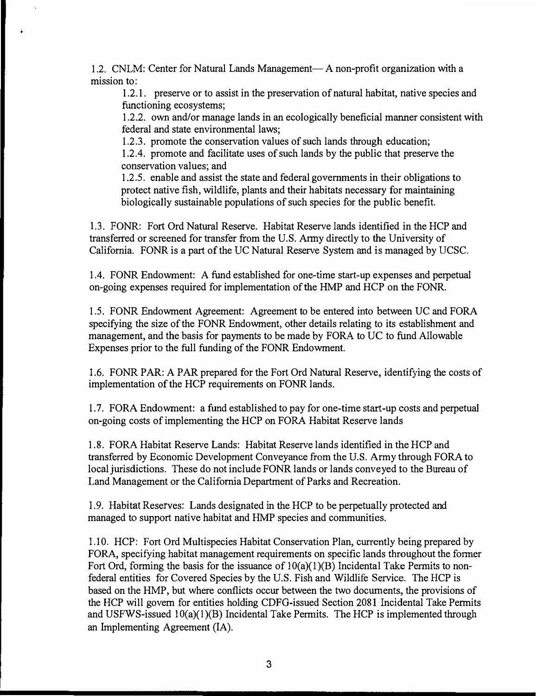1.2. CNLM: Center for Natural Lands Management— A non-profit organization with a mission to:

1.2.1. preserve or to assist in the preservation of natural habitat, native species and functioning ecosystems;

1.2.2. own and/or manage lands in an ecologically beneficial manner consistent with federal and state environmental laws;

1.2.3. promote the conservation values of such lands through education;

1.2.4. promote and facilitate uses of such lands by the public that preserve the conservation values; and

1.2 .5. enable and assist the state and federal governments in their obligations to protect native fish, wildlife, plants and their habitats necessary for maintaining biologically sustainable populations of such species for the public benefit.

1 .3. FONR: Fort Ord Natural Reserve. Habitat Reserve lands identified in the HCP and transferred or screened for transfer from the U.S. Anny directly to the University of California. FONR is a part of the UC Natural Reserve System and is managed by UCSC.

1.4. FONR Endowment: A fund established for one-time start-up expenses and perpetual on-going expenses required for implementation of the HMP and HCP on the FONR.

1.5. FONR Endowment Agreement: Agreement to be entered into between UC and FORA specifying the size of the FONR Endowment, other details relating to its establishment and management, and the basis for payments to be made by FORA to UC to fund Allowable Expenses prior to the full funding of the FONR Endowment.

1.6. FONR PAR: A PAR prepared for the Fort Ord Natural Reserve, identifying the costs of implementation of the HCP requirements on FONR lands.

1.7. FORA Endowment: a fund established to pay for one-time start-up costs and perpetual on-going costs of implementing the HCP on FORA Habitat Reserve lands

1.8. FORA Habitat Reserve Lands: Habitat Reserve lands identified in the HCP and transferred by Economic Development Conveyance from the U.S. Army through FORA to local jurisdictions. These do not include FONR lands or lands conveyed to the Bureau of Land Management or the California Department of Parks and Recreation.

1.9. Habitat Reserves: Lands designated in the HCP to be perpetually protected and managed to support native habitat and HMP species and communities.

1.10. HCP: Fort Ord Multispecies Habitat Conservation Plan, currently being prepared by FORA, specifying habitat management requirements on specific lands throughout the former Fort Ord, forming the basis for the issuance of  $10(a)(1)(B)$  Incidental Take Permits to nonfederal entities for Covered Species by the U.S. Fish and Wildlife Service. The HCP is based on the HMP, but where conflicts occur between the two documents, the provisions of the HCP will govern for entities holding CDFG-issued Section 2081 Incidental Take Permits and USFWS-issued  $10(a)(1)(B)$  Incidental Take Permits. The HCP is implemented through an Implementing Agreement (IA).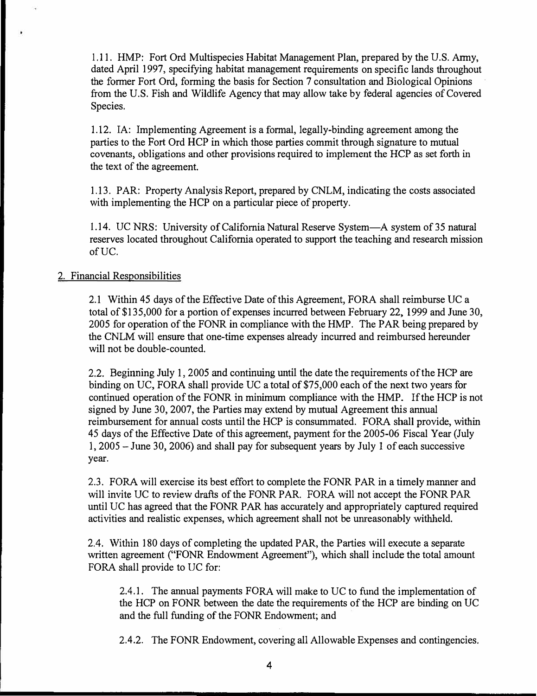1.11. HMP: Fort Ord Multispecies Habitat Management Plan, prepared by the U.S. Army, dated April 1997, specifying habitat management requirements on specific lands throughout the former Fort Ord, forming the basis for Section 7 consultation and Biological Opinions from the U.S. Fish and Wildlife Agency that may allow take by federal agencies of Covered Species.

1.12. IA: Implementing Agreement is a formal, legally-binding agreement among the parties to the Fort Ord HCP in which those parties commit through signature to mutual covenants, obligations and other provisions required to implement the HCP as set forth in the text of the agreement.

1.13. PAR: Property Analysis Report, prepared by CNLM, indicating the costs associated with implementing the HCP on a particular piece of property.

1.14. UC NRS: University of California Natural Reserve System-A system of 35 natural reserves located throughout California operated to support the teaching and research mission ofUC.

# 2. Financial Responsibilities

I

2.1 Within 45 days of the Effective Date of this Agreement, FORA shall reimburse UC a total of \$135,000 for a portion of expenses incurred between February 22, 1999 and June 30, 2005 for operation of the FONR in compliance with the HMP. The PAR being prepared by the CNLM will ensure that one-time expenses already incurred and reimbursed hereunder will not be double-counted.

2.2. Beginning July 1, 2005 and continuing until the date the requirements of the HCP are binding on UC, FORA shall provide UC a total of \$75,000 each of the next two years for continued operation of the FONR in minimum compliance with the HMP. If the HCP is not signed by June 30, 2007, the Parties may extend by mutual Agreement this annual reimbursement for annual costs until the HCP is consummated. FORA shall provide, within 45 days of the Effective Date of this agreement, payment for the 2005-06 Fiscal Year (July I, 2005 - June 30, 2006) and shall pay for subsequent years by July 1 of each successive year.

2.3. FORA will exercise its best effort to complete the FONR PAR in a timely manner and will invite UC to review drafts of the FONR PAR. FORA will not accept the FONR PAR until UC has agreed that the FONR PAR has accurately and appropriately captured required activities and realistic expenses, which agreement shall not be unreasonably withheld.

2.4. Within 180 days of completing the updated PAR, the Parties will execute a separate written agreement ("FONR Endowment Agreement"), which shall include the total amount FORA shall provide to UC for:

2.4.1. The annual payments FORA will make to UC to fund the implementation of the HCP on FONR between the date the requirements of the HCP are binding on UC and the full funding of the FONR Endowment; and

2.4.2. The FONR Endowment, covering all Allowable Expenses and contingencies.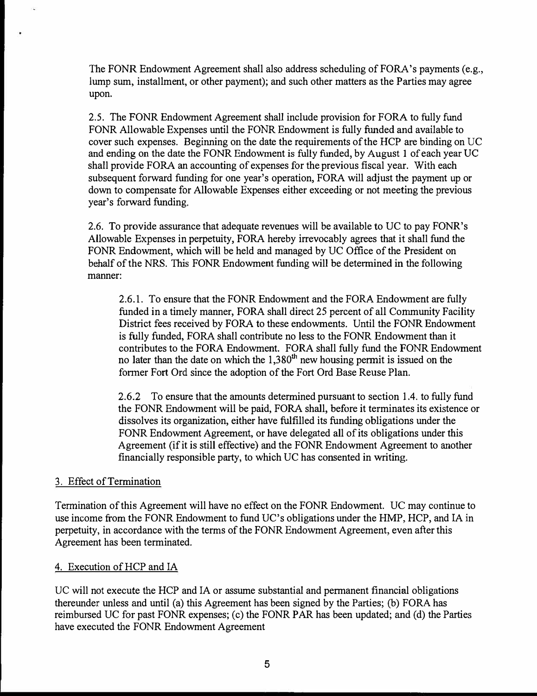The FONR Endowment Agreement shall also address scheduling of FORA's payments (e.g., lump sum, installment, or other payment); and such other matters as the Parties may agree upon.

2.5. The FONR Endowment Agreement shall include provision for FORA to fully fund FONR Allowable Expenses until the FONR Endowment is fully funded and available to cover such expenses. Beginning on the date the requirements of the HCP are binding on UC and ending on the date the FONR Endowment is fully funded, by August 1 of each year UC shall provide FORA an accounting of expenses for the previous fiscal year. With each subsequent forward funding for one year's operation, FORA will adjust the payment up or down to compensate for Allowable Expenses either exceeding or not meeting the previous year's forward funding.

2.6. To provide assurance that adequate revenues will be available to UC to pay FONR's Allowable Expenses in perpetuity, FORA hereby irrevocably agrees that it shall fund the FONR Endowment, which will be held and managed by UC Office of the President on behalf of the NRS. This FONR Endowment funding will be determined in the following manner:

2.6.1. To ensure that the FONR Endowment and the FORA Endowment are fully funded in a timely manner, FORA shall direct 25 percent of all Community Facility District fees received by FORA to these endowments. Until the FONR Endowment is fully funded, FORA shall contribute no less to the FONR Endowment than it contributes to the FORA Endowment. FORA shall fully fund the FONR Endowment no later than the date on which the  $1,380<sup>th</sup>$  new housing permit is issued on the former Fort Ord since the adoption of the Fort Ord Base Reuse Plan.

2.6.2 To ensure that the amounts determined pursuant to section 1.4. to fully fund the FONR Endowment will be paid, FORA shall, before it terminates its existence or dissolves its organization, either have fulfilled its funding obligations under the FONR Endowment Agreement, or have delegated all of its obligations under this Agreement (if it is still effective) and the FONR Endowment Agreement to another financially responsible party, to which UC has consented in writing.

## 3. Effect of Termination

Termination of this Agreement will have no effect on the FONR Endowment. UC may continue to use income from the FONR Endowment to fund UC's obligations under the HMP, HCP, and IA in perpetuity, in accordance with the terms of the FONR Endowment Agreement, even after this Agreement has been terminated.

# 4. Execution of HCP and IA

UC will not execute the HCP and IA or assume substantial and permanent financial obligations thereunder unless and until (a) this Agreement has been signed by the Parties; (b) FORA has reimbursed UC for past FONR expenses; (c) the FONR PAR has been updated; and (d) the Parties have executed the FONR Endowment Agreement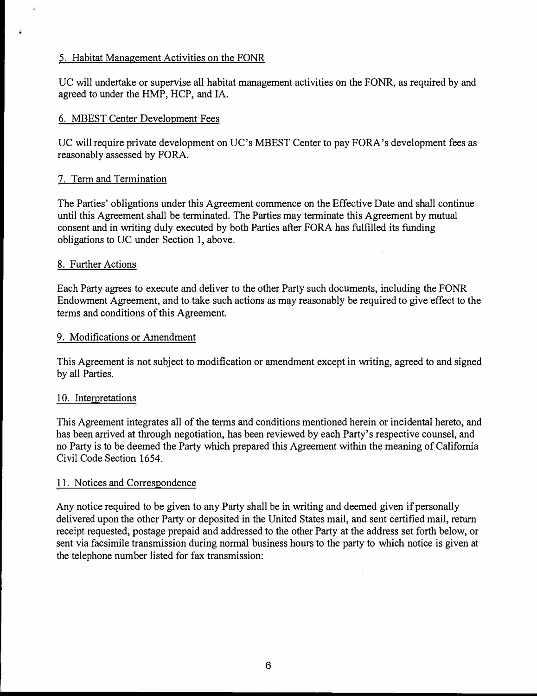# 5. Habitat Management Activities on the FONR

UC will undertake or supervise all habitat management activities on the FONR, as required by and agreed to under the HMP, HCP, and IA.

# 6. MBEST Center Development Fees

UC will require private development on UC's MBEST Center to pay FORA's development fees as reasonably assessed by FORA.

## 7. Term and Termination

The Parties' obligations under this Agreement commence on the Effective Date and shall continue until this Agreement shall be terminated. The Parties may terminate this Agreement by mutual consent and in writing duly executed by both Parties after FORA has fulfilled its funding obligations to UC under Section 1, above.

## 8. Further Actions

Each Party agrees to execute and deliver to the other Party such documents, including the FONR Endowment Agreement, and to take such actions as may reasonably be required to give effect to the terms and conditions of this Agreement.

# 9. Modifications or Amendment

This Agreement is not subject to modification or amendment except in writing, agreed to and signed by all Parties.

## 10. Interpretations

This Agreement integrates all of the terms and conditions mentioned herein or incidental hereto, and has been arrived at through negotiation, has been reviewed by each Party's respective counsel, and no Party is to be deemed the Party which prepared this Agreement within the meaning of California Civil Code Section 1654.

## 11. Notices and Correspondence

Any notice required to be given to any Party shall be in writing and deemed given if personally delivered upon the other Party or deposited in the United States mail, and sent certified mail, return receipt requested, postage prepaid and addressed to the other Party at the address set forth below, or sent via facsimile transmission during normal business hours to the party to which notice is given at the telephone number listed for fax transmission: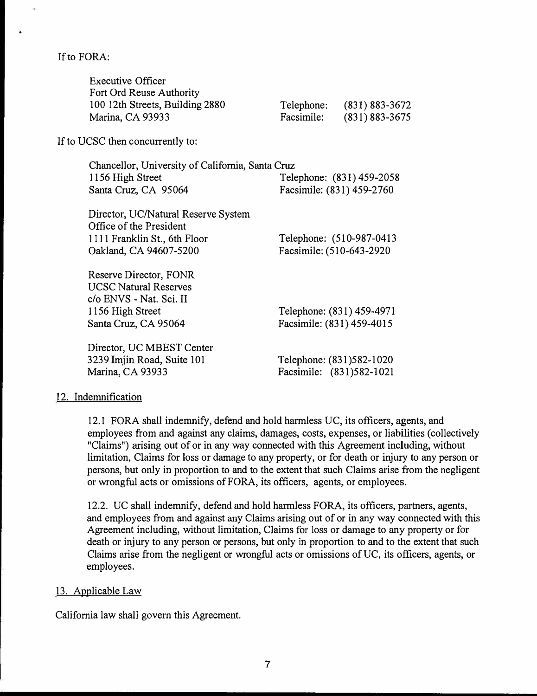If to FORA:

If to:

|                                                  | <b>Executive Officer</b><br>Fort Ord Reuse Authority<br>100 12th Streets, Building 2880<br>Marina, CA 93933              | Telephone:<br>Facsimile:                               | $(831) 883 - 3672$<br>$(831) 883 - 3675$ |
|--------------------------------------------------|--------------------------------------------------------------------------------------------------------------------------|--------------------------------------------------------|------------------------------------------|
|                                                  | UCSC then concurrently to:                                                                                               |                                                        |                                          |
| Chancellor, University of California, Santa Cruz |                                                                                                                          |                                                        |                                          |
|                                                  | 1156 High Street                                                                                                         | Telephone: (831) 459-2058                              |                                          |
|                                                  | Santa Cruz, CA 95064                                                                                                     | Facsimile: (831) 459-2760                              |                                          |
|                                                  | Director, UC/Natural Reserve System<br>Office of the President<br>1111 Franklin St., 6th Floor<br>Oakland, CA 94607-5200 | Facsimile: (510-643-2920                               | Telephone: (510-987-0413)                |
|                                                  | Reserve Director, FONR<br><b>UCSC Natural Reserves</b><br>c/o ENVS - Nat. Sci. II<br>1156 High Street                    | Telephone: (831) 459-4971<br>Facsimile: (831) 459-4015 |                                          |
|                                                  | Santa Cruz, CA 95064                                                                                                     |                                                        |                                          |
|                                                  | Director, UC MBEST Center                                                                                                |                                                        |                                          |
|                                                  | 3239 Imjin Road, Suite 101                                                                                               | Telephone: (831)582-1020                               |                                          |
|                                                  | Marina, CA 93933                                                                                                         | Facsimile: (831)582-1021                               |                                          |
|                                                  |                                                                                                                          |                                                        |                                          |

### 12. Indemnification

12.1 FORA shall indemnify, defend and hold harmless UC, its officers, agents, and employees from and against any claims, damages, costs, expenses, or liabilities ( collectively "Claims") arising out of or in any way connected with this Agreement including, without limitation, Claims for loss or damage to any property, or for death or injury to any person or persons, but only in proportion to and to the extent that such Claims arise from the negligent or wrongful acts or omissions of FORA, its officers, agents, or employees.

12.2. UC shall indemnify, defend and hold harmless FORA, its officers, partners, agents, and employees from and against any Claims arising out of or in any way connected with this Agreement including, without limitation, Claims for loss or damage to any property or for death or injury to any person or persons, but only in proportion to and to the extent that such Claims arise from the negligent or wrongful acts or omissions of UC, its officers, agents, or employees.

#### 13. Applicable Law

California law shall govern this Agreement.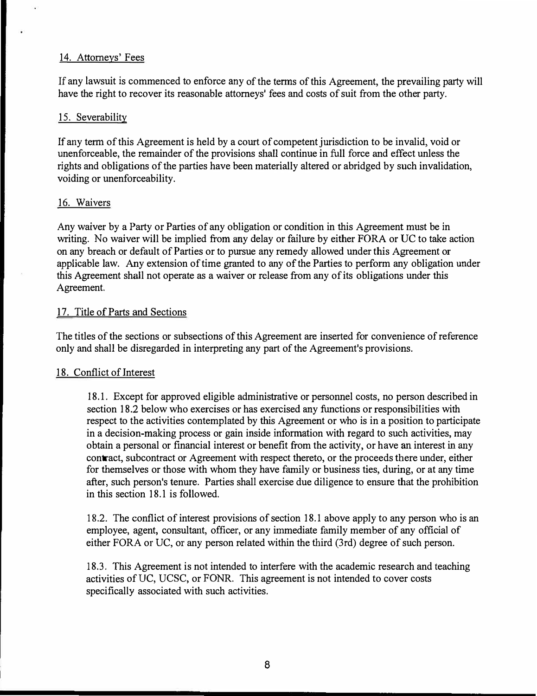#### 14. Attorneys' Fees

If any lawsuit is commenced to enforce any of the terms of this Agreement, the prevailing party will have the right to recover its reasonable attorneys' fees and costs of suit from the other party.

#### 15. Severability

If any term of this Agreement is held by a court of competent jurisdiction to be invalid, void or unenforceable, the remainder of the provisions shall continue in full force and effect unless the rights and obligations of the parties have been materially altered or abridged by such invalidation, voiding or unenforceability.

#### 16. Waivers

Any waiver by a Party or Parties of any obligation or condition in this Agreement must be in writing. No waiver will be implied from any delay or failure by either FORA or UC to take action on any breach or default of Parties or to pursue any remedy allowed under this Agreement or applicable law. Any extension of time granted to any of the Parties to perform any obligation under this Agreement shall not operate as a waiver or release from any of its obligations under this Agreement.

#### 17. Title of Parts and Sections

The titles of the sections or subsections of this Agreement are inserted for convenience ofreference only and shall be disregarded in interpreting any part of the Agreement's provisions.

#### 18. Conflict of Interest

18.1. Except for approved eligible administrative or personnel costs, no person described in section 18.2 below who exercises or has exercised any functions or responsibilities with respect to the activities contemplated by this Agreement or who is in a position to participate in a decision-making process or gain inside information with regard to such activities, may obtain a personal or financial interest or benefit from the activity, or have an interest in any contract, subcontract or Agreement with respect thereto, or the proceeds there under, either for themselves or those with whom they have family or business ties, during, or at any time after, such person's tenure. Parties shall exercise due diligence to ensure that the prohibition in this section 18.1 is followed.

18.2. The conflict of interest provisions of section 18.1 above apply to any person who is an employee, agent, consultant, officer, or any immediate family member of any official of either FORA or UC, or any person related within the third (3rd) degree of such person.

18.3. This Agreement is not intended to interfere with the academic research and teaching activities of UC, UCSC, or FONR. This agreement is not intended to cover costs specifically associated with such activities.